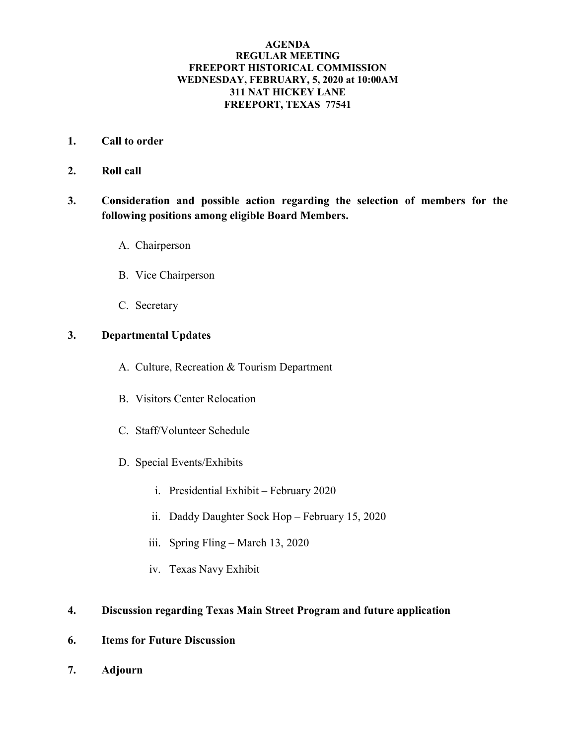## **AGENDA REGULAR MEETING FREEPORT HISTORICAL COMMISSION WEDNESDAY, FEBRUARY, 5, 2020 at 10:00AM 311 NAT HICKEY LANE FREEPORT, TEXAS 77541**

- **1. Call to order**
- **2. Roll call**
- **3. Consideration and possible action regarding the selection of members for the following positions among eligible Board Members.**
	- A. Chairperson
	- B. Vice Chairperson
	- C. Secretary

## **3. Departmental Updates**

- A. Culture, Recreation & Tourism Department
- B. Visitors Center Relocation
- C. Staff/Volunteer Schedule
- D. Special Events/Exhibits
	- i. Presidential Exhibit February 2020
	- ii. Daddy Daughter Sock Hop February 15, 2020
	- iii. Spring Fling March 13, 2020
	- iv. Texas Navy Exhibit

## **4. Discussion regarding Texas Main Street Program and future application**

- **6. Items for Future Discussion**
- **7. Adjourn**